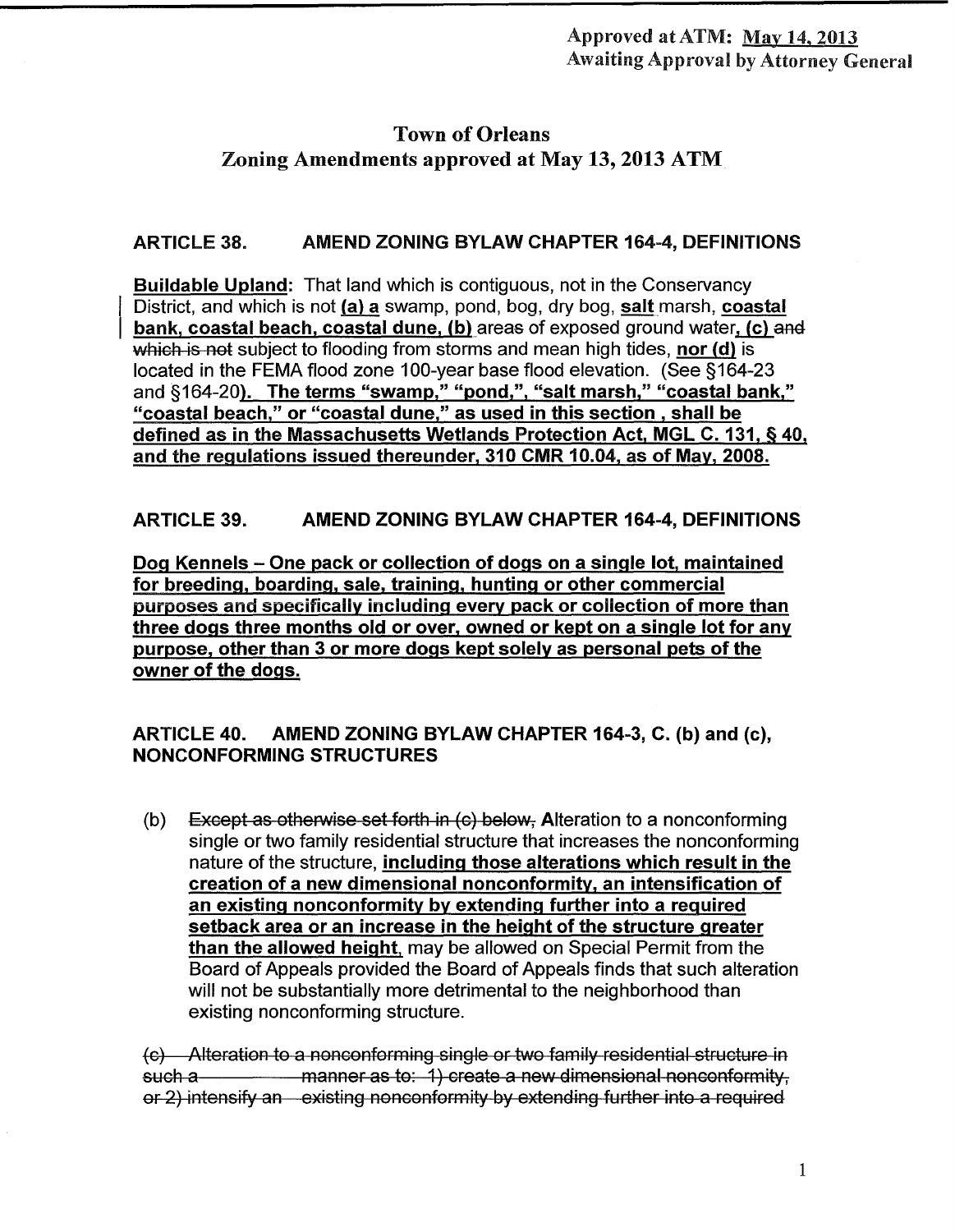# Town of Orleans Zoning Amendments approved at May 13, 2013 ATM

## ARTICLE 38. AMEND ZONING BYLAW CHAPTER 164-4, DEFINITIONS

Buildable Upland: That land which is contiguous, not in the Conservancy District, and which is not  $(a)$  a swamp, pond, bog, dry bog, salt marsh, coastal bank, coastal beach, coastal dune, (b) areas of exposed ground water, (c) and which is not subject to flooding from storms and mean high tides, nor  $(d)$  is located in the FEMA flood zone 100-year base flood elevation. (See §164-23 and §164-20<u>). The terms "swamp," "pond,", "salt marsh," "coastal bank,"</u> "coastal beach," or "coastal dune," as used in this section , shall be defined as in the Massachusetts Wetlands Protection Act, MGL C. 131, § 40, and the regulations issued thereunder, 310 CMR 10.04, as of May, 2008.

## ARTICLE 39. AMEND ZONING BYLAW CHAPTER 164-4, DEFINITIONS

Dog Kennels – One pack or collection of dogs on a single lot, maintained for breeding, boarding, sale, training, hunting or other commercial purposes and specifically including every pack or collection of more than three dogs three months old or over, owned or kept on a single lot for any purpose, other than 3 or more dogs kept solely as personal pets of the owner of the dogs.

## ARTICLE 40. AMEND ZONING BYLAW CHAPTER 164-3, C. (b) and (c), NONCONFORMING STRUCTURES

(b) Except as otherwise set forth in  $\left( c \right)$  below. Alteration to a nonconforming single or two family residential structure that increases the nonconforming nature of the structure, including those alterations which result in the creation of a new dimensional nonconformity, an intensification of an existing nonconformity by extending further into a required setback area or an increase in the height of the structure greater than the allowed height, may be allowed on Special Permit from the Board of Appeals provided the Board of Appeals finds that such alteration will not be substantially more detrimental to the neighborhood than existing nonconforming structure.

(c) Alteration to a nonconforming single or two family residential structure in such a manner as to: 1) create a new dimensional nonconformity, or 2) intensify an existing nonconformity by extending further into a required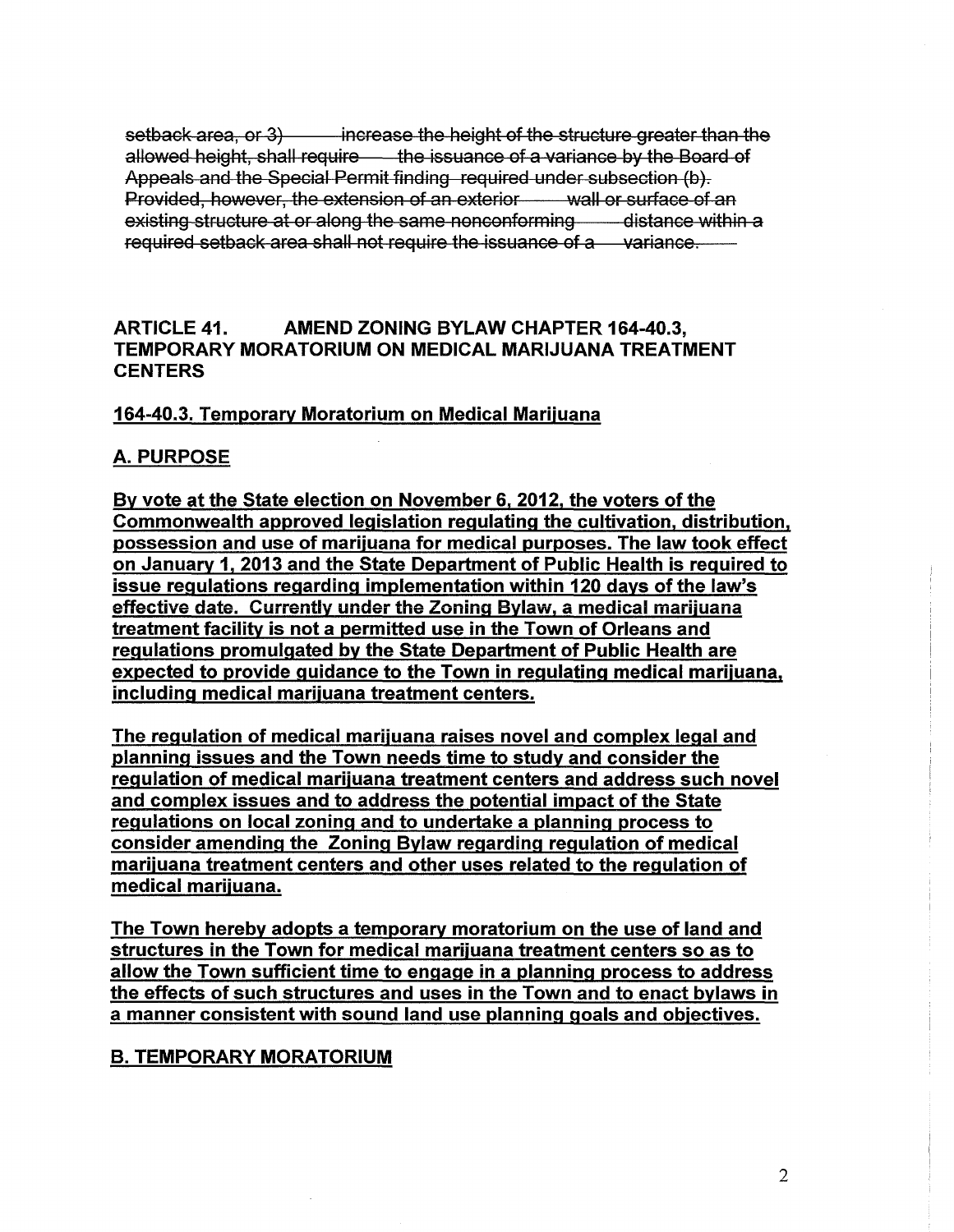setback area, or 3) increase the height of the structure greater than the allowed height, shall require the issuance of a variance by the Board of Appeals and the Special Permit finding required under subsection (b). Provided, however, the extension of an exterior wall or surface of an existing structure at or along the same nonconforming  $\qquad$  distance within a required setback area shall not require the issuance of a variance.

#### ARTICLE 41. AMEND ZONING BYLAW CHAPTER 164-40.3, TEMPORARY MORATORIUM ON MEDICAL MARIJUANA TREATMENT **CENTERS**

#### 164-40.3. Temporary Moratorium on Medical Marijuana

### A. PURPOSE

By vote at the State election on November 6, 2012, the voters of the Commonwealth approved legislation regulating the cultivation, distribution, possession and use of marijuana for medical purposes. The law took effect on January 1, 2013 and the State Department of Public Health is required to issue regulations regarding implementation within 120 days of the law's effective date. Currently under the Zoning Bylaw, a medical marijuana treatment facility is not a permitted use in the Town of Orleans and regulations promulgated by the State Department of Public Health are expected to provide guidance to the Town in regulating medical marijuana, including medical marijuana treatment centers.

The regulation of medical marijuana raises novel and complex legal and planning issues and the Town needs time to study and consider the regulation of medical marijuana treatment centers and address such novel and complex issues and to address the potential impact of the State regulations on local zoning and to undertake a planning process to consider amending the Zoning Bylaw regarding regulation of medical marijuana treatment centers and other uses related to the regulation of medical marijuana.

The Town hereby adopts a temporary moratorium on the use of land and structures in the Town for medical marijuana treatment centers so as to allow the Town sufficient time to engage in a planning process to address the effects of such structures and uses in the Town and to enact bylaws in a manner consistent with sound land use planning goals and objectives.

### B. TEMPORARY MORATORIUM